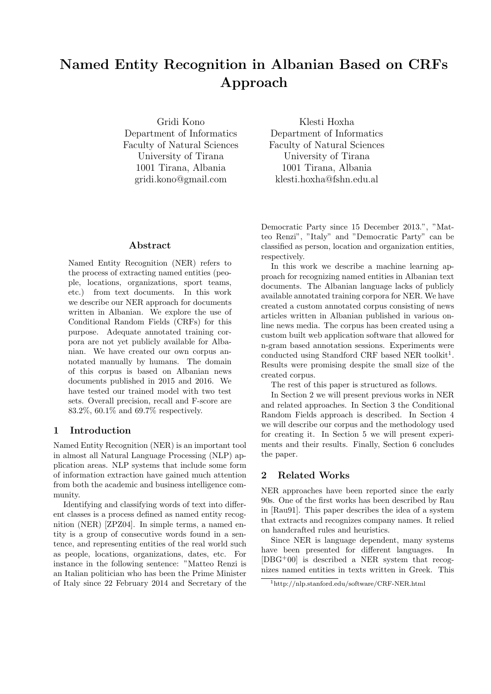# Named Entity Recognition in Albanian Based on CRFs Approach

Gridi Kono Department of Informatics Faculty of Natural Sciences University of Tirana 1001 Tirana, Albania gridi.kono@gmail.com

Abstract

Named Entity Recognition (NER) refers to the process of extracting named entities (people, locations, organizations, sport teams, etc.) from text documents. In this work we describe our NER approach for documents written in Albanian. We explore the use of Conditional Random Fields (CRFs) for this purpose. Adequate annotated training corpora are not yet publicly available for Albanian. We have created our own corpus annotated manually by humans. The domain of this corpus is based on Albanian news documents published in 2015 and 2016. We have tested our trained model with two test sets. Overall precision, recall and F-score are 83.2%, 60.1% and 69.7% respectively.

#### 1 Introduction

Named Entity Recognition (NER) is an important tool in almost all Natural Language Processing (NLP) application areas. NLP systems that include some form of information extraction have gained much attention from both the academic and business intelligence community.

Identifying and classifying words of text into different classes is a process defined as named entity recognition (NER) [ZPZ04]. In simple terms, a named entity is a group of consecutive words found in a sentence, and representing entities of the real world such as people, locations, organizations, dates, etc. For instance in the following sentence: "Matteo Renzi is an Italian politician who has been the Prime Minister of Italy since 22 February 2014 and Secretary of the

Klesti Hoxha Department of Informatics Faculty of Natural Sciences University of Tirana 1001 Tirana, Albania klesti.hoxha@fshn.edu.al

Democratic Party since 15 December 2013.", "Matteo Renzi", "Italy" and "Democratic Party" can be classified as person, location and organization entities, respectively.

In this work we describe a machine learning approach for recognizing named entities in Albanian text documents. The Albanian language lacks of publicly available annotated training corpora for NER. We have created a custom annotated corpus consisting of news articles written in Albanian published in various online news media. The corpus has been created using a custom built web application software that allowed for n-gram based annotation sessions. Experiments were conducted using Standford CRF based NER toolkit<sup>1</sup>. Results were promising despite the small size of the created corpus.

The rest of this paper is structured as follows.

In Section 2 we will present previous works in NER and related approaches. In Section 3 the Conditional Random Fields approach is described. In Section 4 we will describe our corpus and the methodology used for creating it. In Section 5 we will present experiments and their results. Finally, Section 6 concludes the paper.

## 2 Related Works

NER approaches have been reported since the early 90s. One of the first works has been described by Rau in [Rau91]. This paper describes the idea of a system that extracts and recognizes company names. It relied on handcrafted rules and heuristics.

Since NER is language dependent, many systems have been presented for different languages. In  $[DBG^+00]$  is described a NER system that recognizes named entities in texts written in Greek. This

<sup>1</sup>http://nlp.stanford.edu/software/CRF-NER.html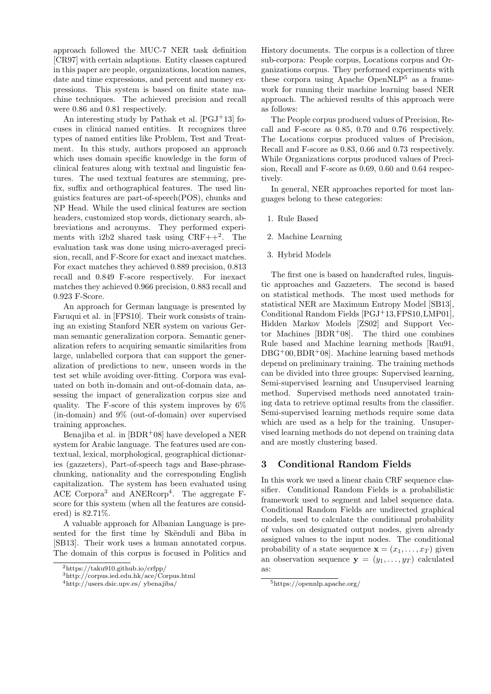approach followed the MUC-7 NER task definition [CR97] with certain adaptions. Entity classes captured in this paper are people, organizations, location names, date and time expressions, and percent and money expressions. This system is based on finite state machine techniques. The achieved precision and recall were 0.86 and 0.81 respectively.

An interesting study by Pathak et al.  $[PGJ+13]$  focuses in clinical named entities. It recognizes three types of named entities like Problem, Test and Treatment. In this study, authors proposed an approach which uses domain specific knowledge in the form of clinical features along with textual and linguistic features. The used textual features are stemming, prefix, suffix and orthographical features. The used linguistics features are part-of-speech(POS), chunks and NP Head. While the used clinical features are section headers, customized stop words, dictionary search, abbreviations and acronyms. They performed experiments with  $i2b2$  shared task using  $CRF++^2$ . The evaluation task was done using micro-averaged precision, recall, and F-Score for exact and inexact matches. For exact matches they achieved 0.889 precision, 0.813 recall and 0.849 F-score respectively. For inexact matches they achieved 0.966 precision, 0.883 recall and 0.923 F-Score.

An approach for German language is presented by Faruqui et al. in [FPS10]. Their work consists of training an existing Stanford NER system on various German semantic generalization corpora. Semantic generalization refers to acquiring semantic similarities from large, unlabelled corpora that can support the generalization of predictions to new, unseen words in the test set while avoiding over-fitting. Corpora was evaluated on both in-domain and out-of-domain data, assessing the impact of generalization corpus size and quality. The F-score of this system improves by  $6\%$ (in-domain) and 9% (out-of-domain) over supervised training approaches.

Benajiba et al. in  $[BDR+08]$  have developed a NER system for Arabic language. The features used are contextual, lexical, morphological, geographical dictionaries (gazzeters), Part-of-speech tags and Base-phrasechunking, nationality and the corresponding English capitalization. The system has been evaluated using ACE Corpora<sup>3</sup> and ANERcorp<sup>4</sup>. The aggregate Fscore for this system (when all the features are considered) is 82.71%.

A valuable approach for Albanian Language is presented for the first time by Skënduli and Biba in [SB13]. Their work uses a human annotated corpus. The domain of this corpus is focused in Politics and

History documents. The corpus is a collection of three sub-corpora: People corpus, Locations corpus and Organizations corpus. They performed experiments with these corpora using Apache Open $NLP<sup>5</sup>$  as a framework for running their machine learning based NER approach. The achieved results of this approach were as follows:

The People corpus produced values of Precision, Recall and F-score as 0.85, 0.70 and 0.76 respectively. The Locations corpus produced values of Precision, Recall and F-score as 0.83, 0.66 and 0.73 respectively. While Organizations corpus produced values of Precision, Recall and F-score as 0.69, 0.60 and 0.64 respectively.

In general, NER approaches reported for most languages belong to these categories:

- 1. Rule Based
- 2. Machine Learning
- 3. Hybrid Models

The first one is based on handcrafted rules, linguistic approaches and Gazzeters. The second is based on statistical methods. The most used methods for statistical NER are Maximum Entropy Model [SB13], Conditional Random Fields [PGJ+13,FPS10,LMP01], Hidden Markov Models [ZS02] and Support Vector Machines  $[BDR+08]$ . The third one combines Rule based and Machine learning methods [Rau91,  $DBG<sup>+</sup>00, BDR<sup>+</sup>08$ . Machine learning based methods depend on preliminary training. The training methods can be divided into three groups: Supervised learning, Semi-supervised learning and Unsupervised learning method. Supervised methods need annotated training data to retrieve optimal results from the classifier. Semi-supervised learning methods require some data which are used as a help for the training. Unsupervised learning methods do not depend on training data and are mostly clustering based.

## 3 Conditional Random Fields

In this work we used a linear chain CRF sequence classifier. Conditional Random Fields is a probabilistic framework used to segment and label sequence data. Conditional Random Fields are undirected graphical models, used to calculate the conditional probability of values on designated output nodes, given already assigned values to the input nodes. The conditional probability of a state sequence  $\mathbf{x} = (x_1, \dots, x_T)$  given an observation sequence  $y = (y_1, \ldots, y_T)$  calculated as:

<sup>2</sup>https://taku910.github.io/crfpp/

<sup>3</sup>http://corpus.ied.edu.hk/ace/Corpus.html

<sup>4</sup>http://users.dsic.upv.es/ ybenajiba/

<sup>5</sup>https://opennlp.apache.org/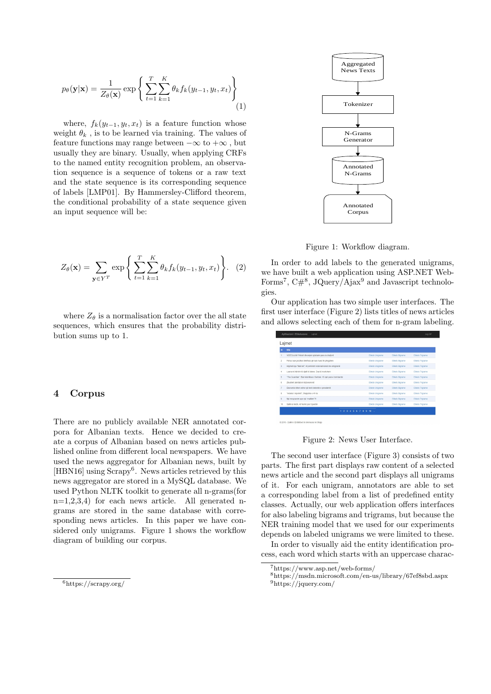$$
p_{\theta}(\mathbf{y}|\mathbf{x}) = \frac{1}{Z_{\theta}(\mathbf{x})} \exp\left\{\sum_{t=1}^{T} \sum_{k=1}^{K} \theta_k f_k(y_{t-1}, y_t, x_t)\right\}
$$
(1)

where,  $f_k(y_{t-1}, y_t, x_t)$  is a feature function whose weight  $\theta_k$ , is to be learned via training. The values of feature functions may range between  $-\infty$  to  $+\infty$ , but usually they are binary. Usually, when applying CRFs to the named entity recognition problem, an observation sequence is a sequence of tokens or a raw text and the state sequence is its corresponding sequence of labels [LMP01]. By Hammersley-Clifford theorem, the conditional probability of a state sequence given an input sequence will be:

$$
Z_{\theta}(\mathbf{x}) = \sum_{\mathbf{y} \in Y^T} \exp \left\{ \sum_{t=1}^T \sum_{k=1}^K \theta_k f_k(y_{t-1}, y_t, x_t) \right\}.
$$
 (2)

where  $Z_{\theta}$  is a normalisation factor over the all state sequences, which ensures that the probability distribution sums up to 1.

#### 4 Corpus

There are no publicly available NER annotated corpora for Albanian texts. Hence we decided to create a corpus of Albanian based on news articles published online from different local newspapers. We have used the news aggregator for Albanian news, built by [HBN16] using Scrapy<sup>6</sup>. News articles retrieved by this news aggregator are stored in a MySQL database. We used Python NLTK toolkit to generate all n-grams(for  $n=1,2,3,4$  for each news article. All generated ngrams are stored in the same database with corresponding news articles. In this paper we have considered only unigrams. Figure 1 shows the workflow diagram of building our corpus.



Figure 1: Workflow diagram.

In order to add labels to the generated unigrams, we have built a web application using ASP.NET Web-Forms<sup>7</sup>,  $C#^8$ , JQuery/Ajax<sup>9</sup> and Javascript technologies.

Our application has two simple user interfaces. The first user interface (Figure 2) lists titles of news articles and allows selecting each of them for n-gram labeling.

| Lajmet         |                                                                      |                  |                 |                   |  |
|----------------|----------------------------------------------------------------------|------------------|-----------------|-------------------|--|
| <b>Id</b>      | title                                                                |                  |                 |                   |  |
|                | VIDEOLAJM/ Policët dhunojnë qytetarin para zvidrejtorit              | Etketo Unigrame  | Etiketo Biorame | Etiketo Trigrame  |  |
| $\overline{a}$ | Firma ruse prodhon telefona gë nuk mund të përgjohen                 | Etketo Unigrame  | Etiketo Bigrame | Etileto Trigrame  |  |
| $\overline{3}$ | Krijchet loja "Nali Isē", Kryeministri ndal kamionat me emigrantē    | Etiketo Unigrame | Etiketo Biorame | Etilogo Trigrame  |  |
| ă.             | Luana në kërkim të dialit të luleve: Dua të martohem                 | Etketo Unigrame  | Etiketo Bigrame | Etileto Trigrame  |  |
| 5              | "The Guardian": Blair këshillues i Serbisë, 16 vjet pasi e bombardoi | Etiketo Uniorame | Etiketo Biorame | Etilogo Trigrame  |  |
| 6              | Zhuishet atentatori i himesmenit                                     | Etketo Unigrame  | Etiketo Bigrame | Etileto Trigrame  |  |
| 7              | Ekonomia kthen edhe nië herë dekretin e presidentit                  | Etiketo Unigrame | Etiketo Bigrame | Etilogio Trigrame |  |
| 8              | "Indeksi i mierimit". Shqipëria e 41-ta                              | Etketo Unigrame  | Etiketo Bigrame | Etileto Trigrame  |  |
| $\overline{9}$ | Nië mospranim apo nië "mallkim"?!                                    | Etiketo Unigrame | Etiketo Bigrame | Etitoto Trigrame  |  |
| 10             | Salihi ja hedh, në fushë pas 3 jayësh                                | Etketo Unigrame  | Etiketo Biorame | Etileto Trigrame  |  |

Figure 2: News User Interface.

The second user interface (Figure 3) consists of two parts. The first part displays raw content of a selected news article and the second part displays all unigrams of it. For each unigram, annotators are able to set a corresponding label from a list of predefined entity classes. Actually, our web application offers interfaces for also labeling bigrams and trigrams, but because the NER training model that we used for our experiments depends on labeled unigrams we were limited to these.

In order to visually aid the entity identification process, each word which starts with an uppercase charac-

<sup>6</sup>https://scrapy.org/

<sup>7</sup>https://www.asp.net/web-forms/

<sup>8</sup>https://msdn.microsoft.com/en-us/library/67ef8sbd.aspx <sup>9</sup>https://jquery.com/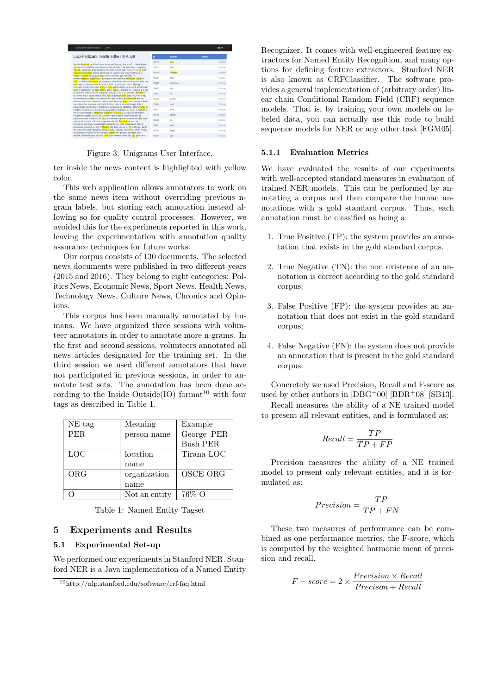| Aplikacioni i Etiketuesve<br>Laimet                                                                                                                                                                                                                         |        |            |                | Log off         |
|-------------------------------------------------------------------------------------------------------------------------------------------------------------------------------------------------------------------------------------------------------------|--------|------------|----------------|-----------------|
| Laci-Partizani, teatër edhe në Kupë                                                                                                                                                                                                                         | id.    | Entiteti   | <b>Frikets</b> |                 |
|                                                                                                                                                                                                                                                             | 156418 | Lad        |                | Etketoie        |
| Laçi dhe Partizani kanë konfirmuar atë që përflitej prej disa javësh, se kanë krijuar<br>nië aleance të mirëfilltë, duke i hapur rrugë njëri-tjetrit në aktivitete të ndryshme.                                                                             | 156419 | dhe        |                | Etketoie        |
| "Akordi I pashkruar" kritoi teatrin në ndeshten mes dy ekipeve në tayën e 19-të të<br>Kategorisë Superiore, ndërsa u finalizua me sukses në dy sfidat cerekfinale të                                                                                        | 156420 | Partizani  |                | Etketoie        |
| Kupës së Shqipërisë, që panë Lacin të shkonte dreit givsmëfinales së<br>turneut.Ndeshia e Superiores, e përfunduar nën hetim nga Komisioni i Etikës në                                                                                                      | 156421 | kané       |                | Etketoie        |
| FSHP, u mbyll me Partizanin gë në minutat e fundit nuk dinte të shënonte, edhe pse                                                                                                                                                                          | 156422 | konfernier |                | Etiketole       |
| Laci i leionte sulmuesit kundershtare të dilnin të getë para portës. Pas asal<br>ndeshiele, traineri i të kuqye, Shpetim Duro, refuzoi idenë e një akordi për të lejuar                                                                                     | 156423 | até        |                | <b>Etketoie</b> |
| Lacin të kualifikohej në Kupë. Sfida e parë e Kupës, e mbyllur me rezultatin 2-0 pas<br>dy golash të shënuar shumë shpejt nga të kuqtë, bëri të mendohej se Partizani do                                                                                    | 156424 | oé         |                |                 |
| të kalonte mes 4 ekipeve më të mira. Por ishte përsëri Duro ai që rihapi dyshimet,<br>duke deklaruar se Kupa ishte turneu i dytë nga rëndësia për Partizanin dhe një                                                                                        |        |            |                | Etketoie        |
| eliminim nuk ishte i pamundur. "Nese eliminohemi nga Kupa, nuk ka asnië problem                                                                                                                                                                             | 156425 | pérfitei   |                | <b>Etketoie</b> |
| sepse kio është strategjia jonë", ishin fialët e trainerit pas asaj fitoreje, duke i<br>hapur rrupën përmbysies së pritshme të kurbinasve në ndeshien e kthimit. Ashtu ka                                                                                   | 156426 | preli      |                | Etiketole       |
| ndodhur në ndeshten e djeshme, ku skuadrat kanë shfaqur një teatër të ngjashëm<br>me atë të përballjes të Kategorisë Superiore. Partizani, i paragitur në këtë takim.                                                                                       | 156427 | disa       |                | Etiketoie       |
| thuaise me të gjithë loitarët që zakonisht ngrohin stolin e rezervave, bëri të                                                                                                                                                                              | 156428 | kwésh      |                | Etiketoie       |
| pamundurën për t'i mundësuar Lacit të shënonte në portën kryeqytetase. Por duke<br>parë se si kurbinasit nuk dinin të gjenin kuadratin, Partizani mendoi t'ua                                                                                               | 156430 | <b>SP</b>  |                | Etketoie        |
| thjeshtonte më shumë kundërshtarëve kualifikimin, duke shkaktuar dy penallti<br>brenda pak minutash me ane të Muskait dhe duke mbetur me 10 lottarë pas dalles                                                                                              | 156431 | kané       |                | Etketoie        |
| me karton të kuq të mbroitësit. Cetkovic gaboi nga pika e bardhë në rastin e parë.                                                                                                                                                                          | 156432 | kriuar     |                | Etiketoie       |
| duke goditur shtyllen, por në të dytën. Xheims mori përsipër gjualtien, duke<br>dërquar saktësisht topin në rrietë. Nuk do të vononte shumë dhe Laci gjeti edhe<br>social a durit una disease sines cut derivat for a nuclei minovirio a financesis o ad di | 156433 | nié        |                | Ethetoid        |

Figure 3: Unigrams User Interface.

ter inside the news content is highlighted with yellow color.

This web application allows annotators to work on the same news item without overriding previous ngram labels, but storing each annotation instead allowing so for quality control processes. However, we avoided this for the experiments reported in this work, leaving the experimentation with annotation quality assurance techniques for future works.

Our corpus consists of 130 documents. The selected news documents were published in two different years (2015 and 2016). They belong to eight categories: Politics News, Economic News, Sport News, Health News, Technology News, Culture News, Chronics and Opinions.

This corpus has been manually annotated by humans. We have organized three sessions with volunteer annotators in order to annotate more n-grams. In the first and second sessions, volunteers annotated all news articles designated for the training set. In the third session we used different annotators that have not participated in previous sessions, in order to annotate test sets. The annotation has been done according to the Inside Outside(IO) format<sup>10</sup> with four tags as described in Table 1.

| NE tag | Meaning       | Example         |
|--------|---------------|-----------------|
| PER.   | person name   | George PER      |
|        |               | <b>Bush PER</b> |
| LOC    | location      | Tirana LOC      |
|        | name          |                 |
| ORG    | organization  | <b>OSCE ORG</b> |
|        | name          |                 |
|        | Not an entity | 76% O           |

Table 1: Named Entity Tagset

## 5 Experiments and Results

#### 5.1 Experimental Set-up

We performed our experiments in Stanford NER. Stanford NER is a Java implementation of a Named Entity

Recognizer. It comes with well-engineered feature extractors for Named Entity Recognition, and many options for defining feature extractors. Stanford NER is also known as CRFClassifier. The software provides a general implementation of (arbitrary order) linear chain Conditional Random Field (CRF) sequence models. That is, by training your own models on labeled data, you can actually use this code to build sequence models for NER or any other task [FGM05].

#### 5.1.1 Evaluation Metrics

We have evaluated the results of our experiments with well-accepted standard measures in evaluation of trained NER models. This can be performed by annotating a corpus and then compare the human annotations with a gold standard corpus. Thus, each annotation must be classified as being a:

- 1. True Positive (TP): the system provides an annotation that exists in the gold standard corpus.
- 2. True Negative (TN): the non existence of an annotation is correct according to the gold standard corpus.
- 3. False Positive (FP): the system provides an annotation that does not exist in the gold standard corpus;
- 4. False Negative (FN): the system does not provide an annotation that is present in the gold standard corpus.

Concretely we used Precision, Recall and F-score as used by other authors in  $[DBG^+00]$   $[BDR^+08]$   $[SB13]$ .

Recall measures the ability of a NE trained model to present all relevant entities, and is formulated as:

$$
Recall = \frac{TP}{TP + FP}
$$

Precision measures the ability of a NE trained model to present only relevant entities, and it is formulated as:

$$
Precision = \frac{TP}{TP + FN}
$$

These two measures of performance can be combined as one performance metrics, the F-score, which is computed by the weighted harmonic mean of precision and recall.

$$
F-score = 2 \times \frac{Precision \times Recall}{Precision + Recall}
$$

<sup>10</sup>http://nlp.stanford.edu/software/crf-faq.html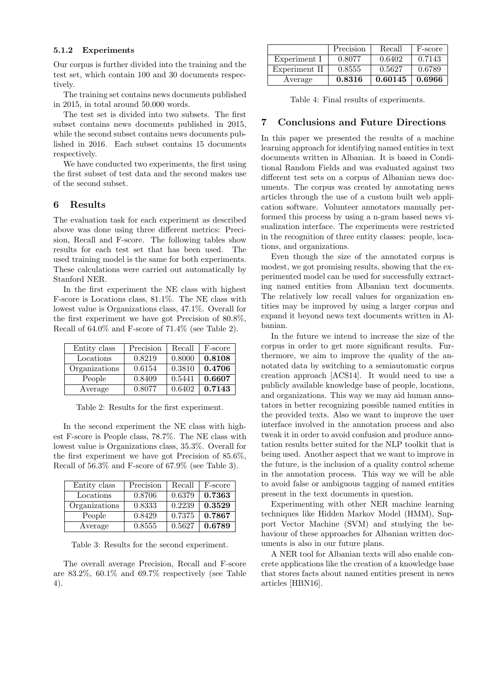#### 5.1.2 Experiments

Our corpus is further divided into the training and the test set, which contain 100 and 30 documents respectively.

The training set contains news documents published in 2015, in total around 50.000 words.

The test set is divided into two subsets. The first subset contains news documents published in 2015, while the second subset contains news documents published in 2016. Each subset contains 15 documents respectively.

We have conducted two experiments, the first using the first subset of test data and the second makes use of the second subset.

### 6 Results

The evaluation task for each experiment as described above was done using three different metrics: Precision, Recall and F-score. The following tables show results for each test set that has been used. The used training model is the same for both experiments. These calculations were carried out automatically by Stanford NER.

In the first experiment the NE class with highest F-score is Locations class, 81.1%. The NE class with lowest value is Organizations class, 47.1%. Overall for the first experiment we have got Precision of 80.8%, Recall of 64.0% and F-score of 71.4% (see Table 2).

| Entity class  | Precision | Recall | F-score |
|---------------|-----------|--------|---------|
| Locations     | 0.8219    | 0.8000 | 0.8108  |
| Organizations | 0.6154    | 0.3810 | 0.4706  |
| People        | 0.8409    | 0.5441 | 0.6607  |
| Average       | 0.8077    | 0.6402 | 0.7143  |

Table 2: Results for the first experiment.

In the second experiment the NE class with highest F-score is People class, 78.7%. The NE class with lowest value is Organizations class, 35.3%. Overall for the first experiment we have got Precision of 85.6%, Recall of 56.3% and F-score of 67.9% (see Table 3).

| Entity class  | Precision | Recall | F-score |
|---------------|-----------|--------|---------|
| Locations     | 0.8706    | 0.6379 | 0.7363  |
| Organizations | 0.8333    | 0.2239 | 0.3529  |
| People        | 0.8429    | 0.7375 | 0.7867  |
| Average       | 0.8555    | 0.5627 | 0.6789  |

Table 3: Results for the second experiment.

The overall average Precision, Recall and F-score are 83.2%, 60.1% and 69.7% respectively (see Table 4).

|               | Precision | Recall  | F-score |
|---------------|-----------|---------|---------|
| Experiment I  | 0.8077    | 0.6402  | 0.7143  |
| Experiment II | 0.8555    | 0.5627  | 0.6789  |
| Average       | 0.8316    | 0.60145 | 0.6966  |

Table 4: Final results of experiments.

# 7 Conclusions and Future Directions

In this paper we presented the results of a machine learning approach for identifying named entities in text documents written in Albanian. It is based in Conditional Random Fields and was evaluated against two different test sets on a corpus of Albanian news documents. The corpus was created by annotating news articles through the use of a custom built web application software. Volunteer annotators manually performed this process by using a n-gram based news visualization interface. The experiments were restricted in the recognition of three entity classes: people, locations, and organizations.

Even though the size of the annotated corpus is modest, we got promising results, showing that the experimented model can be used for successfully extracting named entities from Albanian text documents. The relatively low recall values for organization entities may be improved by using a larger corpus and expand it beyond news text documents written in Albanian.

In the future we intend to increase the size of the corpus in order to get more significant results. Furthermore, we aim to improve the quality of the annotated data by switching to a semiautomatic corpus creation approach [ACS14]. It would need to use a publicly available knowledge base of people, locations, and organizations. This way we may aid human annotators in better recognizing possible named entities in the provided texts. Also we want to improve the user interface involved in the annotation process and also tweak it in order to avoid confusion and produce annotation results better suited for the NLP toolkit that is being used. Another aspect that we want to improve in the future, is the inclusion of a quality control scheme in the annotation process. This way we will be able to avoid false or ambiguous tagging of named entities present in the text documents in question.

Experimenting with other NER machine learning techniques like Hidden Markov Model (HMM), Support Vector Machine (SVM) and studying the behaviour of these approaches for Albanian written documents is also in our future plans.

A NER tool for Albanian texts will also enable concrete applications like the creation of a knowledge base that stores facts about named entities present in news articles [HBN16].